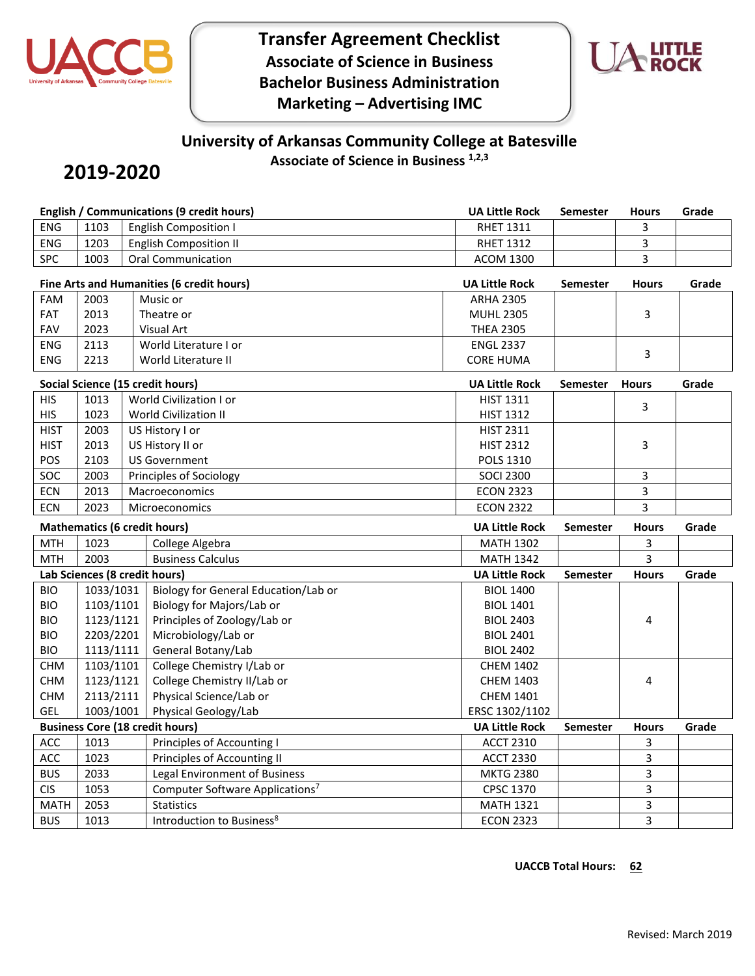

**Transfer Agreement Checklist Associate of Science in Business Bachelor Business Administration Marketing – Advertising IMC**



# **University of Arkansas Community College at Batesville Associate of Science in Business 1,2,3**

# **2019-2020**

|                                           |           | <b>English / Communications (9 credit hours)</b> | <b>UA Little Rock</b>                | <b>Semester</b> | <b>Hours</b> | Grade |
|-------------------------------------------|-----------|--------------------------------------------------|--------------------------------------|-----------------|--------------|-------|
| ENG                                       | 1103      | <b>English Composition I</b>                     | <b>RHET 1311</b>                     |                 | 3            |       |
| <b>ENG</b>                                | 1203      | <b>English Composition II</b>                    | <b>RHET 1312</b>                     |                 | 3            |       |
| <b>SPC</b>                                | 1003      | <b>Oral Communication</b>                        | <b>ACOM 1300</b>                     |                 | 3            |       |
| Fine Arts and Humanities (6 credit hours) |           |                                                  | <b>UA Little Rock</b>                | <b>Semester</b> | <b>Hours</b> | Grade |
| FAM                                       | 2003      | Music or                                         | <b>ARHA 2305</b>                     |                 |              |       |
| FAT                                       | 2013      | Theatre or                                       | <b>MUHL 2305</b>                     |                 | 3            |       |
| FAV                                       | 2023      | Visual Art                                       | <b>THEA 2305</b>                     |                 |              |       |
| <b>ENG</b>                                | 2113      | World Literature I or                            | <b>ENGL 2337</b>                     |                 |              |       |
| ENG                                       | 2213      | World Literature II                              | <b>CORE HUMA</b>                     |                 | 3            |       |
| Social Science (15 credit hours)          |           |                                                  | <b>UA Little Rock</b>                | <b>Semester</b> | <b>Hours</b> | Grade |
| <b>HIS</b>                                | 1013      | World Civilization I or                          | <b>HIST 1311</b>                     |                 |              |       |
| <b>HIS</b>                                | 1023      | <b>World Civilization II</b>                     | <b>HIST 1312</b>                     |                 | 3            |       |
| <b>HIST</b>                               | 2003      | US History I or                                  | <b>HIST 2311</b>                     |                 |              |       |
| <b>HIST</b>                               | 2013      | US History II or                                 | <b>HIST 2312</b>                     |                 | 3            |       |
| POS                                       | 2103      | <b>US Government</b>                             | <b>POLS 1310</b>                     |                 |              |       |
| SOC                                       | 2003      | Principles of Sociology                          | <b>SOCI 2300</b>                     |                 | 3            |       |
| <b>ECN</b>                                | 2013      | Macroeconomics                                   | <b>ECON 2323</b>                     |                 | 3            |       |
| <b>ECN</b>                                | 2023      | Microeconomics                                   | <b>ECON 2322</b>                     |                 | 3            |       |
|                                           |           |                                                  |                                      |                 |              |       |
|                                           |           | <b>Mathematics (6 credit hours)</b>              | <b>UA Little Rock</b>                | <b>Semester</b> | <b>Hours</b> | Grade |
| <b>MTH</b>                                | 1023      | College Algebra                                  | <b>MATH 1302</b>                     |                 | 3            |       |
| <b>MTH</b>                                | 2003      | <b>Business Calculus</b>                         | <b>MATH 1342</b>                     |                 | 3            |       |
|                                           |           | Lab Sciences (8 credit hours)                    | <b>UA Little Rock</b>                | <b>Semester</b> | <b>Hours</b> | Grade |
| <b>BIO</b>                                | 1033/1031 | Biology for General Education/Lab or             | <b>BIOL 1400</b>                     |                 |              |       |
| <b>BIO</b>                                | 1103/1101 | Biology for Majors/Lab or                        | <b>BIOL 1401</b>                     |                 |              |       |
| <b>BIO</b>                                | 1123/1121 | Principles of Zoology/Lab or                     | <b>BIOL 2403</b>                     |                 | 4            |       |
| <b>BIO</b>                                | 2203/2201 | Microbiology/Lab or                              | <b>BIOL 2401</b>                     |                 |              |       |
| <b>BIO</b>                                | 1113/1111 | General Botany/Lab                               | <b>BIOL 2402</b>                     |                 |              |       |
| <b>CHM</b>                                | 1103/1101 | College Chemistry I/Lab or                       | <b>CHEM 1402</b>                     |                 |              |       |
| <b>CHM</b>                                | 1123/1121 | College Chemistry II/Lab or                      | <b>CHEM 1403</b>                     |                 | 4            |       |
| <b>CHM</b>                                | 2113/2111 | Physical Science/Lab or                          | <b>CHEM 1401</b>                     |                 |              |       |
| GEL                                       | 1003/1001 | Physical Geology/Lab                             | ERSC 1302/1102                       |                 |              |       |
|                                           |           | <b>Business Core (18 credit hours)</b>           | <b>UA Little Rock</b>                | <b>Semester</b> | <b>Hours</b> | Grade |
| ACC                                       | 1013      | Principles of Accounting I                       | <b>ACCT 2310</b>                     |                 | 3            |       |
| ACC                                       | 1023      | Principles of Accounting II                      | <b>ACCT 2330</b>                     |                 | 3            |       |
| <b>BUS</b>                                | 2033      | Legal Environment of Business                    | <b>MKTG 2380</b>                     |                 | 3            |       |
| <b>CIS</b>                                | 1053      | Computer Software Applications <sup>7</sup>      | CPSC 1370                            |                 | 3            |       |
| <b>MATH</b><br><b>BUS</b>                 | 2053      | <b>Statistics</b>                                | <b>MATH 1321</b><br><b>ECON 2323</b> |                 | 3<br>3       |       |

### **UACCB** Total Hours: 62